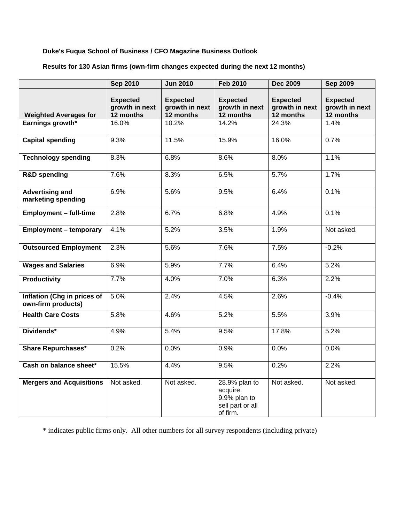## **Duke's Fuqua School of Business / CFO Magazine Business Outlook**

## **Results for 130 Asian firms (own-firm changes expected during the next 12 months)**

|                                                   | <b>Sep 2010</b>                                | <b>Jun 2010</b>                                | <b>Feb 2010</b>                                                           | <b>Dec 2009</b>                                | <b>Sep 2009</b>                                |
|---------------------------------------------------|------------------------------------------------|------------------------------------------------|---------------------------------------------------------------------------|------------------------------------------------|------------------------------------------------|
| <b>Weighted Averages for</b>                      | <b>Expected</b><br>growth in next<br>12 months | <b>Expected</b><br>growth in next<br>12 months | <b>Expected</b><br>growth in next<br>12 months                            | <b>Expected</b><br>growth in next<br>12 months | <b>Expected</b><br>growth in next<br>12 months |
| Earnings growth*                                  | 16.0%                                          | 10.2%                                          | 14.2%                                                                     | 24.3%                                          | 1.4%                                           |
|                                                   |                                                |                                                |                                                                           |                                                |                                                |
| <b>Capital spending</b>                           | 9.3%                                           | 11.5%                                          | 15.9%                                                                     | 16.0%                                          | 0.7%                                           |
| <b>Technology spending</b>                        | 8.3%                                           | 6.8%                                           | 8.6%                                                                      | 8.0%                                           | 1.1%                                           |
| <b>R&amp;D spending</b>                           | 7.6%                                           | 8.3%                                           | 6.5%                                                                      | 5.7%                                           | 1.7%                                           |
| <b>Advertising and</b><br>marketing spending      | 6.9%                                           | 5.6%                                           | 9.5%                                                                      | 6.4%                                           | 0.1%                                           |
| <b>Employment - full-time</b>                     | 2.8%                                           | 6.7%                                           | 6.8%                                                                      | 4.9%                                           | 0.1%                                           |
| <b>Employment - temporary</b>                     | 4.1%                                           | 5.2%                                           | 3.5%                                                                      | 1.9%                                           | Not asked.                                     |
| <b>Outsourced Employment</b>                      | 2.3%                                           | 5.6%                                           | 7.6%                                                                      | 7.5%                                           | $-0.2%$                                        |
| <b>Wages and Salaries</b>                         | 6.9%                                           | 5.9%                                           | 7.7%                                                                      | 6.4%                                           | 5.2%                                           |
| <b>Productivity</b>                               | 7.7%                                           | 4.0%                                           | 7.0%                                                                      | 6.3%                                           | 2.2%                                           |
| Inflation (Chg in prices of<br>own-firm products) | 5.0%                                           | 2.4%                                           | 4.5%                                                                      | 2.6%                                           | $-0.4%$                                        |
| <b>Health Care Costs</b>                          | 5.8%                                           | 4.6%                                           | 5.2%                                                                      | 5.5%                                           | 3.9%                                           |
| Dividends*                                        | 4.9%                                           | 5.4%                                           | 9.5%                                                                      | 17.8%                                          | 5.2%                                           |
| <b>Share Repurchases*</b>                         | 0.2%                                           | 0.0%                                           | 0.9%                                                                      | 0.0%                                           | 0.0%                                           |
| Cash on balance sheet*                            | 15.5%                                          | 4.4%                                           | 9.5%                                                                      | 0.2%                                           | 2.2%                                           |
| <b>Mergers and Acquisitions</b>                   | Not asked.                                     | Not asked.                                     | 28.9% plan to<br>acquire.<br>9.9% plan to<br>sell part or all<br>of firm. | Not asked.                                     | Not asked.                                     |

\* indicates public firms only. All other numbers for all survey respondents (including private)